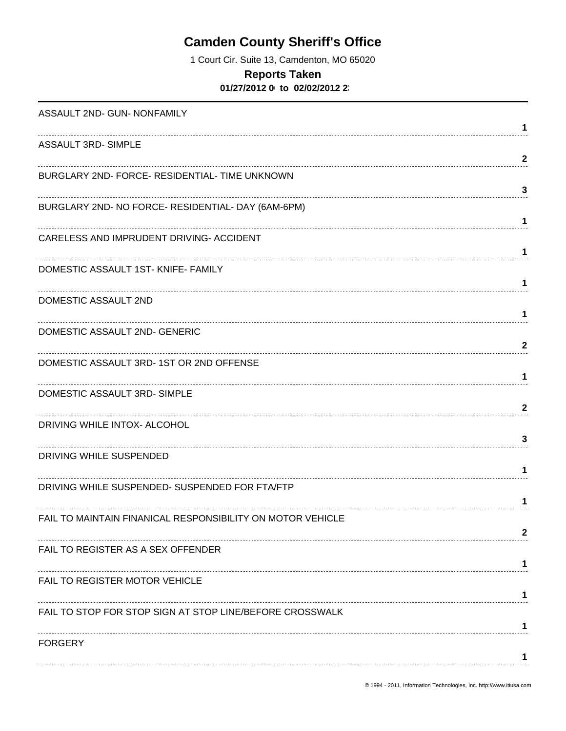# **Camden County Sheriff's Office**

1 Court Cir. Suite 13, Camdenton, MO 65020

#### **Reports Taken**

**01/27/2012 00:00 to 02/02/2012 23:59**

| ASSAULT 2ND- GUN- NONFAMILY                                |              |
|------------------------------------------------------------|--------------|
|                                                            | 1            |
| <b>ASSAULT 3RD- SIMPLE</b>                                 | $\mathbf{2}$ |
| BURGLARY 2ND- FORCE- RESIDENTIAL- TIME UNKNOWN             |              |
|                                                            | 3            |
| BURGLARY 2ND- NO FORCE- RESIDENTIAL- DAY (6AM-6PM)         |              |
|                                                            | 1            |
| CARELESS AND IMPRUDENT DRIVING- ACCIDENT                   | 1            |
| DOMESTIC ASSAULT 1ST- KNIFE- FAMILY                        |              |
|                                                            | 1            |
| DOMESTIC ASSAULT 2ND                                       |              |
|                                                            | 1            |
| DOMESTIC ASSAULT 2ND- GENERIC                              | $\mathbf{2}$ |
| DOMESTIC ASSAULT 3RD-1ST OR 2ND OFFENSE                    |              |
|                                                            | 1            |
| DOMESTIC ASSAULT 3RD-SIMPLE                                |              |
|                                                            | $\mathbf{2}$ |
| DRIVING WHILE INTOX- ALCOHOL                               | 3            |
| DRIVING WHILE SUSPENDED                                    |              |
|                                                            | 1            |
| DRIVING WHILE SUSPENDED- SUSPENDED FOR FTA/FTP             |              |
|                                                            | 1            |
| FAIL TO MAINTAIN FINANICAL RESPONSIBILITY ON MOTOR VEHICLE | 2            |
| FAIL TO REGISTER AS A SEX OFFENDER                         |              |
|                                                            |              |
| FAIL TO REGISTER MOTOR VEHICLE                             |              |
|                                                            | 1            |
| FAIL TO STOP FOR STOP SIGN AT STOP LINE/BEFORE CROSSWALK   |              |
| <b>FORGERY</b>                                             |              |
|                                                            |              |
|                                                            |              |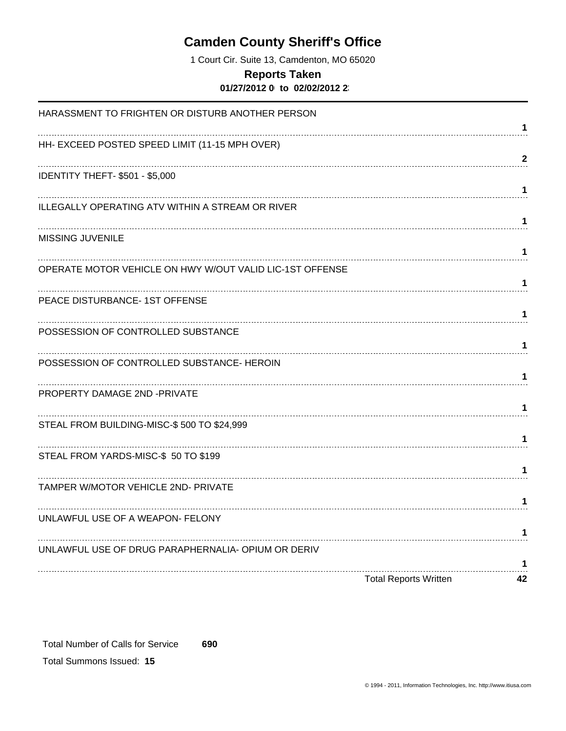## **Camden County Sheriff's Office**

1 Court Cir. Suite 13, Camdenton, MO 65020

#### **Reports Taken**

**01/27/2012 00:00 to 02/02/2012 23:59**

| HARASSMENT TO FRIGHTEN OR DISTURB ANOTHER PERSON         | 1            |
|----------------------------------------------------------|--------------|
| HH- EXCEED POSTED SPEED LIMIT (11-15 MPH OVER)           |              |
| IDENTITY THEFT- \$501 - \$5,000                          | $\mathbf{2}$ |
|                                                          | 1            |
| ILLEGALLY OPERATING ATV WITHIN A STREAM OR RIVER         | 1            |
| MISSING JUVENILE                                         |              |
|                                                          | 1            |
| OPERATE MOTOR VEHICLE ON HWY W/OUT VALID LIC-1ST OFFENSE | 1            |
| PEACE DISTURBANCE- 1ST OFFENSE                           | 1            |
| POSSESSION OF CONTROLLED SUBSTANCE                       | 1            |
| POSSESSION OF CONTROLLED SUBSTANCE- HEROIN               | 1            |
| PROPERTY DAMAGE 2ND -PRIVATE                             |              |
| STEAL FROM BUILDING-MISC-\$500 TO \$24,999               | 1            |
| STEAL FROM YARDS-MISC-\$ 50 TO \$199                     | 1            |
|                                                          | 1            |
| TAMPER W/MOTOR VEHICLE 2ND- PRIVATE                      | 1.           |
| UNLAWFUL USE OF A WEAPON- FELONY                         |              |
|                                                          | 1            |
| UNLAWFUL USE OF DRUG PARAPHERNALIA- OPIUM OR DERIV       | 1            |
| <b>Total Reports Written</b>                             | 42           |